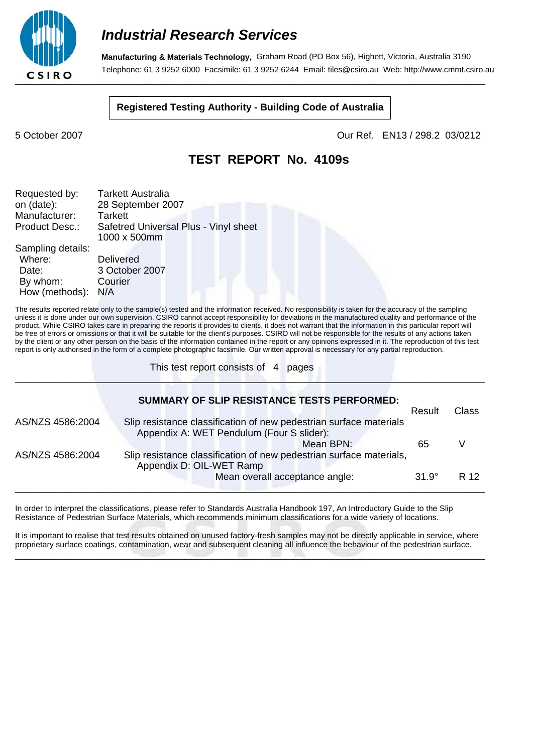

**Manufacturing & Materials Technology,** Graham Road (PO Box 56), Highett, Victoria, Australia 3190 Telephone: 61 3 9252 6000 Facsimile: 61 3 9252 6244 Email: tiles@csiro.au Web: http://www.cmmt.csiro.au

#### **Registered Testing Authority - Building Code of Australia**

5 October 2007 Our Ref. EN13 / 298.2 03/0212

### **TEST REPORT No. 4109s**

| Requested by:<br>on (date):<br>Manufacturer:<br>Product Desc.:     | <b>Tarkett Australia</b><br>28 September 2007<br><b>Tarkett</b><br>Safetred Universal Plus - Vinyl sheet<br>1000 x 500mm |
|--------------------------------------------------------------------|--------------------------------------------------------------------------------------------------------------------------|
| Sampling details:<br>Where:<br>Date:<br>By whom:<br>How (methods): | <b>Delivered</b><br>3 October 2007<br>Courier<br>N/A                                                                     |

The results reported relate only to the sample(s) tested and the information received. No responsibility is taken for the accuracy of the sampling unless it is done under our own supervision. CSIRO cannot accept responsibility for deviations in the manufactured quality and performance of the product. While CSIRO takes care in preparing the reports it provides to clients, it does not warrant that the information in this particular report will be free of errors or omissions or that it will be suitable for the client's purposes. CSIRO will not be responsible for the results of any actions taken by the client or any other person on the basis of the information contained in the report or any opinions expressed in it. The reproduction of this test report is only authorised in the form of a complete photographic facsimile. Our written approval is necessary for any partial reproduction.

\_\_\_\_\_\_\_\_\_\_\_\_\_\_\_\_\_\_\_\_\_\_\_\_\_\_\_\_\_\_\_\_\_\_\_\_\_\_\_\_\_\_\_\_\_\_\_\_\_\_\_\_\_\_\_\_\_\_\_\_\_\_\_\_\_\_\_\_\_\_\_\_\_\_\_\_\_\_\_\_\_\_\_\_\_\_

This test report consists of 4 pages

|                  | <b>SUMMARY OF SLIP RESISTANCE TESTS PERFORMED:</b>                  |              |       |
|------------------|---------------------------------------------------------------------|--------------|-------|
|                  |                                                                     | Result       | Class |
| AS/NZS 4586:2004 | Slip resistance classification of new pedestrian surface materials  |              |       |
|                  | Appendix A: WET Pendulum (Four S slider):                           |              |       |
|                  | Mean BPN:                                                           | 65           |       |
| AS/NZS 4586:2004 | Slip resistance classification of new pedestrian surface materials, |              |       |
|                  | Appendix D: OIL-WET Ramp                                            |              |       |
|                  | Mean overall acceptance angle:                                      | $31.9^\circ$ | R 12  |
|                  |                                                                     |              |       |

In order to interpret the classifications, please refer to Standards Australia Handbook 197, An Introductory Guide to the Slip Resistance of Pedestrian Surface Materials, which recommends minimum classifications for a wide variety of locations.

It is important to realise that test results obtained on unused factory-fresh samples may not be directly applicable in service, where proprietary surface coatings, contamination, wear and subsequent cleaning all influence the behaviour of the pedestrian surface. \_\_\_\_\_\_\_\_\_\_\_\_\_\_\_\_\_\_\_\_\_\_\_\_\_\_\_\_\_\_\_\_\_\_\_\_\_\_\_\_\_\_\_\_\_\_\_\_\_\_\_\_\_\_\_\_\_\_\_\_\_\_\_\_\_\_\_\_\_\_\_\_\_\_\_\_\_\_\_\_\_\_\_\_\_\_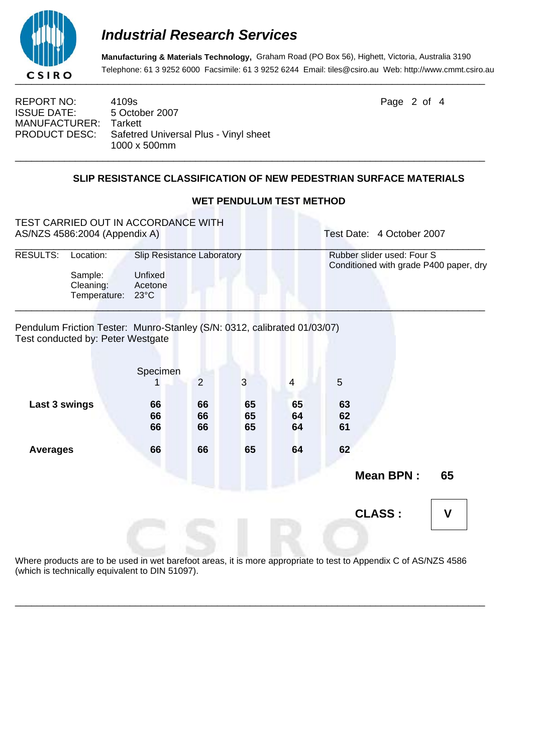

**Manufacturing & Materials Technology,** Graham Road (PO Box 56), Highett, Victoria, Australia 3190 Telephone: 61 3 9252 6000 Facsimile: 61 3 9252 6244 Email: tiles@csiro.au Web: http://www.cmmt.csiro.au

REPORT NO: 4109s 2 of 4 ISSUE DATE: 5 October 2007 MANUFACTURER: Tarkett PRODUCT DESC: Safetred Universal Plus - Vinyl sheet 1000 x 500mm \_\_\_\_\_\_\_\_\_\_\_\_\_\_\_\_\_\_\_\_\_\_\_\_\_\_\_\_\_\_\_\_\_\_\_\_\_\_\_\_\_\_\_\_\_\_\_\_\_\_\_\_\_\_\_\_\_\_\_\_\_\_\_\_\_\_\_\_\_\_\_\_\_\_\_\_\_\_\_\_\_\_\_\_\_\_

#### **SLIP RESISTANCE CLASSIFICATION OF NEW PEDESTRIAN SURFACE MATERIALS**

# TEST CARRIED OUT IN ACCORDANCE WITH AS/NZS 4586:2004 (Appendix A) Test Date: 4 October 2007 \_\_\_\_\_\_\_\_\_\_\_\_\_\_\_\_\_\_\_\_\_\_\_\_\_\_\_\_\_\_\_\_\_\_\_\_\_\_\_\_\_\_\_\_\_\_\_\_\_\_\_\_\_\_\_\_\_\_\_\_\_\_\_\_\_\_\_\_\_\_\_\_\_\_\_\_\_\_\_\_\_\_\_\_\_\_ RESULTS: Location: Slip Resistance Laboratory Rubber slider used: Four S Conditioned with grade P400 paper, dry Sample: Unfixed Cleaning: Acetone Temperature: 23°C \_\_\_\_\_\_\_\_\_\_\_\_\_\_\_\_\_\_\_\_\_\_\_\_\_\_\_\_\_\_\_\_\_\_\_\_\_\_\_\_\_\_\_\_\_\_\_\_\_\_\_\_\_\_\_\_\_\_\_\_\_\_\_\_\_\_\_\_\_\_\_\_\_\_\_\_\_\_\_\_\_\_\_\_\_\_ Pendulum Friction Tester: Munro-Stanley (S/N: 0312, calibrated 01/03/07) Test conducted by: Peter Westgate Specimen 1 2 3 4 5 Last 3 swings 66 66 65 65 63  **66 66 65 64 62 66 66 65 64 61 Averages 66 66 65 64 62 Mean BPN : 65 CLASS : V**

Where products are to be used in wet barefoot areas, it is more appropriate to test to Appendix C of AS/NZS 4586 (which is technically equivalent to DIN 51097).

\_\_\_\_\_\_\_\_\_\_\_\_\_\_\_\_\_\_\_\_\_\_\_\_\_\_\_\_\_\_\_\_\_\_\_\_\_\_\_\_\_\_\_\_\_\_\_\_\_\_\_\_\_\_\_\_\_\_\_\_\_\_\_\_\_\_\_\_\_\_\_\_\_\_\_\_\_\_\_\_\_\_\_\_\_\_

#### **WET PENDULUM TEST METHOD**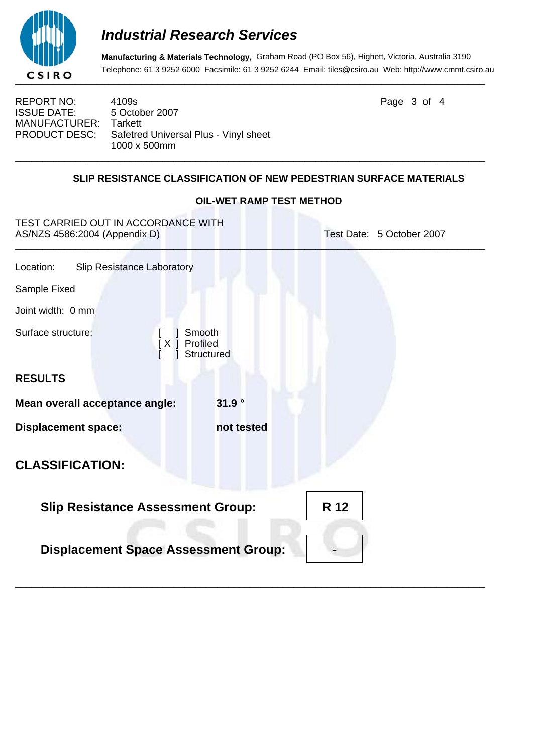

**Manufacturing & Materials Technology,** Graham Road (PO Box 56), Highett, Victoria, Australia 3190 Telephone: 61 3 9252 6000 Facsimile: 61 3 9252 6244 Email: tiles@csiro.au Web: http://www.cmmt.csiro.au

REPORT NO: 4109s **Page 3 of 4** ISSUE DATE: 5 October 2007 MANUFACTURER: Tarkett<br>PRODUCT DESC: Safetree Safetred Universal Plus - Vinyl sheet 1000 x 500mm

### **SLIP RESISTANCE CLASSIFICATION OF NEW PEDESTRIAN SURFACE MATERIALS**

\_\_\_\_\_\_\_\_\_\_\_\_\_\_\_\_\_\_\_\_\_\_\_\_\_\_\_\_\_\_\_\_\_\_\_\_\_\_\_\_\_\_\_\_\_\_\_\_\_\_\_\_\_\_\_\_\_\_\_\_\_\_\_\_\_\_\_\_\_\_\_\_\_\_\_\_\_\_\_\_\_\_\_\_\_\_

| TEST CARRIED OUT IN ACCORDANCE WITH<br>AS/NZS 4586:2004 (Appendix D) |            | Test Date: 5 October 2007 |  |  |
|----------------------------------------------------------------------|------------|---------------------------|--|--|
| Location:<br><b>Slip Resistance Laboratory</b>                       |            |                           |  |  |
| Sample Fixed                                                         |            |                           |  |  |
| Joint width: 0 mm                                                    |            |                           |  |  |
| Surface structure:<br>Smooth<br>Profiled<br>  X                      | Structured |                           |  |  |
| <b>RESULTS</b>                                                       |            |                           |  |  |
| Mean overall acceptance angle:                                       | 31.9°      |                           |  |  |
| <b>Displacement space:</b>                                           | not tested |                           |  |  |
| <b>CLASSIFICATION:</b>                                               |            |                           |  |  |
| <b>Slip Resistance Assessment Group:</b>                             | R 12       |                           |  |  |
| <b>Displacement Space Assessment Group:</b>                          |            |                           |  |  |
|                                                                      |            |                           |  |  |

### **OIL-WET RAMP TEST METHOD**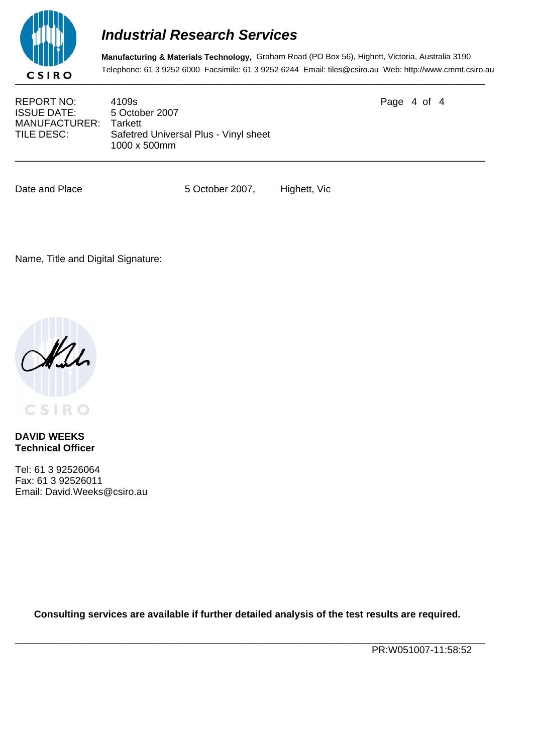

**Manufacturing & Materials Technology,** Graham Road (PO Box 56), Highett, Victoria, Australia 3190 Telephone: 61 3 9252 6000 Facsimile: 61 3 9252 6244 Email: tiles@csiro.au Web: http://www.cmmt.csiro.au

ISSUE DATE: 5 October 2007 MANUFACTURER: Tarkett<br>TILE DESC: Safetree

REPORT NO: 4109s Page 4 of 4 Safetred Universal Plus - Vinyl sheet 1000 x 500mm

Date and Place 5 October 2007, Highett, Vic

\_\_\_\_\_\_\_\_\_\_\_\_\_\_\_\_\_\_\_\_\_\_\_\_\_\_\_\_\_\_\_\_\_\_\_\_\_\_\_\_\_\_\_\_\_\_\_\_\_\_\_\_\_\_\_\_\_\_\_\_\_\_\_\_\_\_\_\_\_\_\_\_\_\_\_\_\_\_\_\_\_\_\_\_\_\_

Name, Title and Digital Signature:



**DAVID WEEKS Technical Officer**

Tel: 61 3 92526064 Fax: 61 3 92526011 Email: David.Weeks@csiro.au

**Consulting services are available if further detailed analysis of the test results are required.**

\_\_\_\_\_\_\_\_\_\_\_\_\_\_\_\_\_\_\_\_\_\_\_\_\_\_\_\_\_\_\_\_\_\_\_\_\_\_\_\_\_\_\_\_\_\_\_\_\_\_\_\_\_\_\_\_\_\_\_\_\_\_\_\_\_\_\_\_\_\_\_\_\_\_\_\_\_\_\_\_\_\_\_\_\_\_

PR:W051007-11:58:52